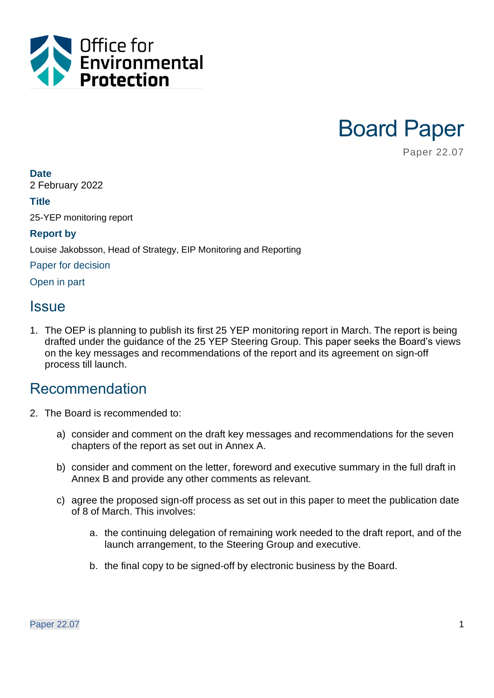



Paper 22.07

#### **Date**

2 February 2022

#### **Title**

25-YEP monitoring report

#### **Report by**

Louise Jakobsson, Head of Strategy, EIP Monitoring and Reporting

Paper for decision

Open in part

### **Issue**

1. The OEP is planning to publish its first 25 YEP monitoring report in March. The report is being drafted under the guidance of the 25 YEP Steering Group. This paper seeks the Board's views on the key messages and recommendations of the report and its agreement on sign-off process till launch.

### Recommendation

- 2. The Board is recommended to:
	- a) consider and comment on the draft key messages and recommendations for the seven chapters of the report as set out in Annex A.
	- b) consider and comment on the letter, foreword and executive summary in the full draft in Annex B and provide any other comments as relevant.
	- c) agree the proposed sign-off process as set out in this paper to meet the publication date of 8 of March. This involves:
		- a. the continuing delegation of remaining work needed to the draft report, and of the launch arrangement, to the Steering Group and executive.
		- b. the final copy to be signed-off by electronic business by the Board.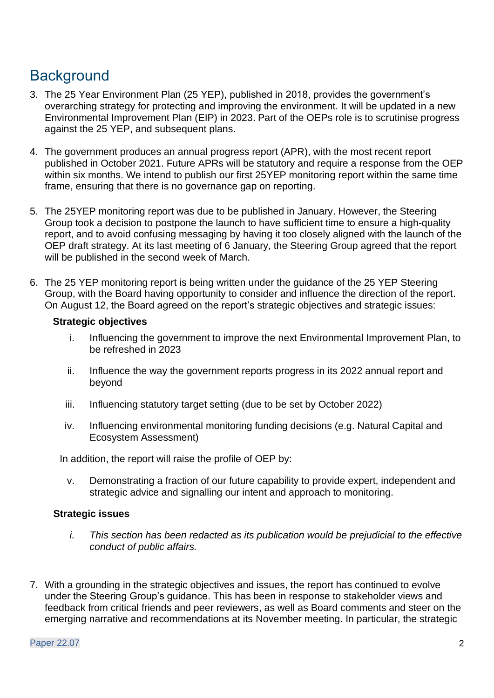# **Background**

- 3. The 25 Year Environment Plan (25 YEP), published in 2018, provides the government's overarching strategy for protecting and improving the environment. It will be updated in a new Environmental Improvement Plan (EIP) in 2023. Part of the OEPs role is to scrutinise progress against the 25 YEP, and subsequent plans.
- 4. The government produces an annual progress report (APR), with the most recent report published in October 2021. Future APRs will be statutory and require a response from the OEP within six months. We intend to publish our first 25YEP monitoring report within the same time frame, ensuring that there is no governance gap on reporting.
- 5. The 25YEP monitoring report was due to be published in January. However, the Steering Group took a decision to postpone the launch to have sufficient time to ensure a high-quality report, and to avoid confusing messaging by having it too closely aligned with the launch of the OEP draft strategy. At its last meeting of 6 January, the Steering Group agreed that the report will be published in the second week of March.
- 6. The 25 YEP monitoring report is being written under the guidance of the 25 YEP Steering Group, with the Board having opportunity to consider and influence the direction of the report. On August 12, the Board agreed on the report's strategic objectives and strategic issues:

#### **Strategic objectives**

- i. Influencing the government to improve the next Environmental Improvement Plan, to be refreshed in 2023
- ii. Influence the way the government reports progress in its 2022 annual report and beyond
- iii. Influencing statutory target setting (due to be set by October 2022)
- iv. Influencing environmental monitoring funding decisions (e.g. Natural Capital and Ecosystem Assessment)

In addition, the report will raise the profile of OEP by:

v. Demonstrating a fraction of our future capability to provide expert, independent and strategic advice and signalling our intent and approach to monitoring.

#### **Strategic issues**

- *i. This section has been redacted as its publication would be prejudicial to the effective conduct of public affairs.*
- 7. With a grounding in the strategic objectives and issues, the report has continued to evolve under the Steering Group's guidance. This has been in response to stakeholder views and feedback from critical friends and peer reviewers, as well as Board comments and steer on the emerging narrative and recommendations at its November meeting. In particular, the strategic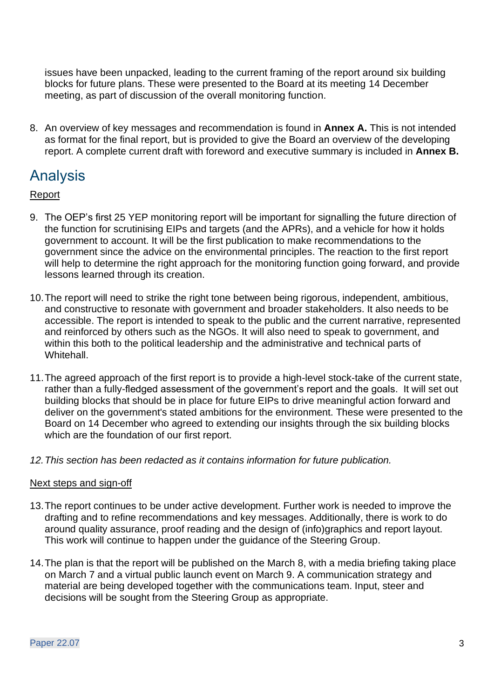issues have been unpacked, leading to the current framing of the report around six building blocks for future plans. These were presented to the Board at its meeting 14 December meeting, as part of discussion of the overall monitoring function.

8. An overview of key messages and recommendation is found in **Annex A.** This is not intended as format for the final report, but is provided to give the Board an overview of the developing report. A complete current draft with foreword and executive summary is included in **Annex B.**

## Analysis

#### Report

- 9. The OEP's first 25 YEP monitoring report will be important for signalling the future direction of the function for scrutinising EIPs and targets (and the APRs), and a vehicle for how it holds government to account. It will be the first publication to make recommendations to the government since the advice on the environmental principles. The reaction to the first report will help to determine the right approach for the monitoring function going forward, and provide lessons learned through its creation.
- 10.The report will need to strike the right tone between being rigorous, independent, ambitious, and constructive to resonate with government and broader stakeholders. It also needs to be accessible. The report is intended to speak to the public and the current narrative, represented and reinforced by others such as the NGOs. It will also need to speak to government, and within this both to the political leadership and the administrative and technical parts of Whitehall.
- 11.The agreed approach of the first report is to provide a high-level stock-take of the current state, rather than a fully-fledged assessment of the government's report and the goals. It will set out building blocks that should be in place for future EIPs to drive meaningful action forward and deliver on the government's stated ambitions for the environment. These were presented to the Board on 14 December who agreed to extending our insights through the six building blocks which are the foundation of our first report.
- *12.This section has been redacted as it contains information for future publication.*

#### Next steps and sign-off

- 13.The report continues to be under active development. Further work is needed to improve the drafting and to refine recommendations and key messages. Additionally, there is work to do around quality assurance, proof reading and the design of (info)graphics and report layout. This work will continue to happen under the guidance of the Steering Group.
- 14.The plan is that the report will be published on the March 8, with a media briefing taking place on March 7 and a virtual public launch event on March 9. A communication strategy and material are being developed together with the communications team. Input, steer and decisions will be sought from the Steering Group as appropriate.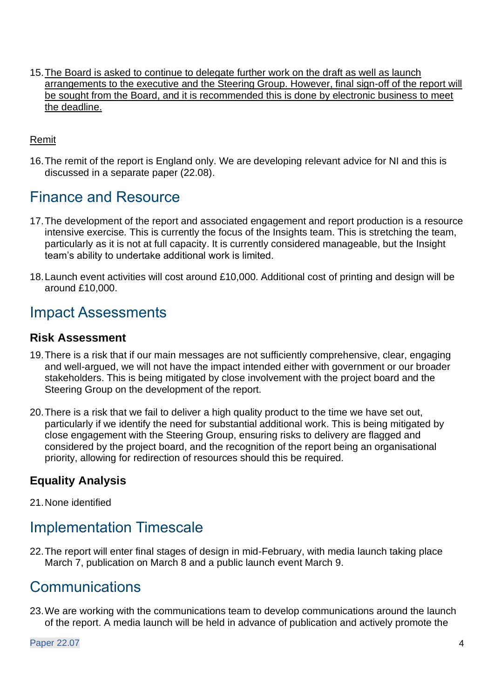15.The Board is asked to continue to delegate further work on the draft as well as launch arrangements to the executive and the Steering Group. However, final sign-off of the report will be sought from the Board, and it is recommended this is done by electronic business to meet the deadline.

#### Remit

16.The remit of the report is England only. We are developing relevant advice for NI and this is discussed in a separate paper (22.08).

### Finance and Resource

- 17.The development of the report and associated engagement and report production is a resource intensive exercise*.* This is currently the focus of the Insights team. This is stretching the team, particularly as it is not at full capacity. It is currently considered manageable, but the Insight team's ability to undertake additional work is limited.
- 18.Launch event activities will cost around £10,000. Additional cost of printing and design will be around £10,000.

### Impact Assessments

#### **Risk Assessment**

- 19.There is a risk that if our main messages are not sufficiently comprehensive, clear, engaging and well-argued, we will not have the impact intended either with government or our broader stakeholders. This is being mitigated by close involvement with the project board and the Steering Group on the development of the report.
- 20.There is a risk that we fail to deliver a high quality product to the time we have set out, particularly if we identify the need for substantial additional work. This is being mitigated by close engagement with the Steering Group, ensuring risks to delivery are flagged and considered by the project board, and the recognition of the report being an organisational priority, allowing for redirection of resources should this be required.

### **Equality Analysis**

21.None identified

# Implementation Timescale

22.The report will enter final stages of design in mid-February, with media launch taking place March 7, publication on March 8 and a public launch event March 9.

### **Communications**

23.We are working with the communications team to develop communications around the launch of the report. A media launch will be held in advance of publication and actively promote the